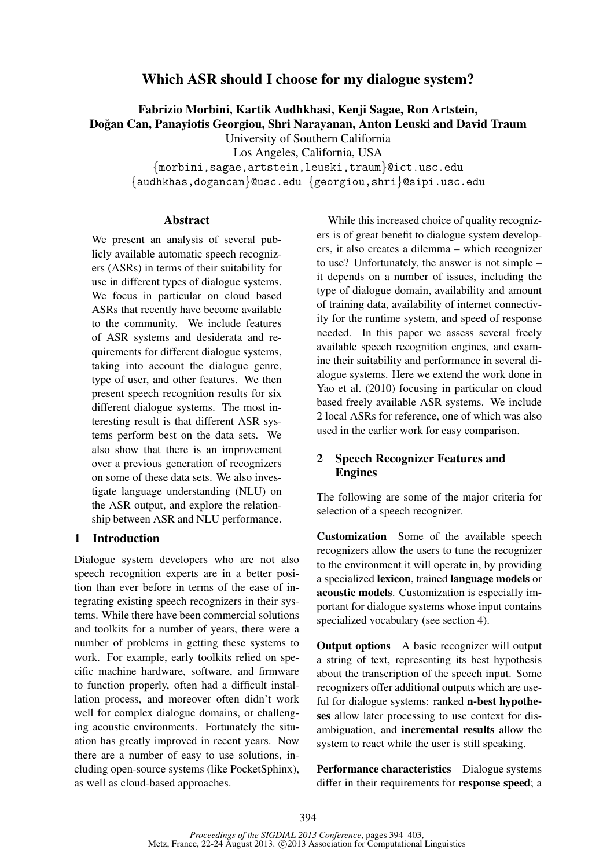# Which ASR should I choose for my dialogue system?

Fabrizio Morbini, Kartik Audhkhasi, Kenji Sagae, Ron Artstein,

Dogan Can, Panayiotis Georgiou, Shri Narayanan, Anton Leuski and David Traum ˘

University of Southern California

Los Angeles, California, USA

{morbini,sagae,artstein,leuski,traum}@ict.usc.edu

{audhkhas,dogancan}@usc.edu {georgiou,shri}@sipi.usc.edu

#### Abstract

We present an analysis of several publicly available automatic speech recognizers (ASRs) in terms of their suitability for use in different types of dialogue systems. We focus in particular on cloud based ASRs that recently have become available to the community. We include features of ASR systems and desiderata and requirements for different dialogue systems, taking into account the dialogue genre, type of user, and other features. We then present speech recognition results for six different dialogue systems. The most interesting result is that different ASR systems perform best on the data sets. We also show that there is an improvement over a previous generation of recognizers on some of these data sets. We also investigate language understanding (NLU) on the ASR output, and explore the relationship between ASR and NLU performance.

## 1 Introduction

Dialogue system developers who are not also speech recognition experts are in a better position than ever before in terms of the ease of integrating existing speech recognizers in their systems. While there have been commercial solutions and toolkits for a number of years, there were a number of problems in getting these systems to work. For example, early toolkits relied on specific machine hardware, software, and firmware to function properly, often had a difficult installation process, and moreover often didn't work well for complex dialogue domains, or challenging acoustic environments. Fortunately the situation has greatly improved in recent years. Now there are a number of easy to use solutions, including open-source systems (like PocketSphinx), as well as cloud-based approaches.

While this increased choice of quality recognizers is of great benefit to dialogue system developers, it also creates a dilemma – which recognizer to use? Unfortunately, the answer is not simple – it depends on a number of issues, including the type of dialogue domain, availability and amount of training data, availability of internet connectivity for the runtime system, and speed of response needed. In this paper we assess several freely available speech recognition engines, and examine their suitability and performance in several dialogue systems. Here we extend the work done in Yao et al. (2010) focusing in particular on cloud based freely available ASR systems. We include 2 local ASRs for reference, one of which was also used in the earlier work for easy comparison.

# 2 Speech Recognizer Features and Engines

The following are some of the major criteria for selection of a speech recognizer.

Customization Some of the available speech recognizers allow the users to tune the recognizer to the environment it will operate in, by providing a specialized lexicon, trained language models or acoustic models. Customization is especially important for dialogue systems whose input contains specialized vocabulary (see section 4).

**Output options** A basic recognizer will output a string of text, representing its best hypothesis about the transcription of the speech input. Some recognizers offer additional outputs which are useful for dialogue systems: ranked **n-best hypothe**ses allow later processing to use context for disambiguation, and incremental results allow the system to react while the user is still speaking.

Performance characteristics Dialogue systems differ in their requirements for response speed; a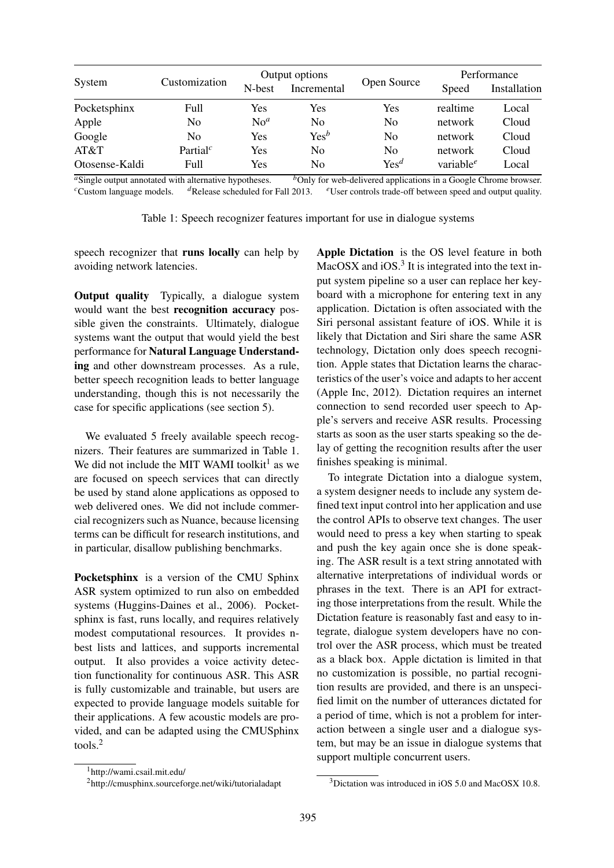|                | Customization                     | Output options  |                  |                  | Performance           |              |
|----------------|-----------------------------------|-----------------|------------------|------------------|-----------------------|--------------|
| System         |                                   | N-best          | Incremental      | Open Source      | Speed                 | Installation |
| Pocketsphinx   | Full                              | Yes             | Yes              | Yes              | realtime              | Local        |
| Apple          | No                                | No <sup>a</sup> | N <sub>0</sub>   | N <sub>0</sub>   | network               | Cloud        |
| Google         | No                                | Yes             | Yes <sup>b</sup> | N <sub>0</sub>   | network               | Cloud        |
| AT&T           | Partial <sup><math>c</math></sup> | Yes             | N <sub>0</sub>   | N <sub>0</sub>   | network               | Cloud        |
| Otosense-Kaldi | <b>Full</b>                       | Yes             | N <sub>0</sub>   | Yes <sup>d</sup> | variable <sup>e</sup> | Local        |

*a*Single output annotated with alternative hypotheses. *b*Only for web-delivered applications in a Google Chrome browser. *c*Custom language models. <sup>*d*</sup>Release scheduled for Fall 2013. *e*User controls trade-off between speed and output quality.

|  | Table 1: Speech recognizer features important for use in dialogue systems |  |  |  |
|--|---------------------------------------------------------------------------|--|--|--|
|  |                                                                           |  |  |  |

speech recognizer that runs locally can help by avoiding network latencies.

Output quality Typically, a dialogue system would want the best recognition accuracy possible given the constraints. Ultimately, dialogue systems want the output that would yield the best performance for Natural Language Understanding and other downstream processes. As a rule, better speech recognition leads to better language understanding, though this is not necessarily the case for specific applications (see section 5).

We evaluated 5 freely available speech recognizers. Their features are summarized in Table 1. We did not include the MIT WAMI toolkit<sup>1</sup> as we are focused on speech services that can directly be used by stand alone applications as opposed to web delivered ones. We did not include commercial recognizers such as Nuance, because licensing terms can be difficult for research institutions, and in particular, disallow publishing benchmarks.

Pocketsphinx is a version of the CMU Sphinx ASR system optimized to run also on embedded systems (Huggins-Daines et al., 2006). Pocketsphinx is fast, runs locally, and requires relatively modest computational resources. It provides nbest lists and lattices, and supports incremental output. It also provides a voice activity detection functionality for continuous ASR. This ASR is fully customizable and trainable, but users are expected to provide language models suitable for their applications. A few acoustic models are provided, and can be adapted using the CMUSphinx tools.<sup>2</sup>

Apple Dictation is the OS level feature in both MacOSX and  $iOS.<sup>3</sup>$  It is integrated into the text input system pipeline so a user can replace her keyboard with a microphone for entering text in any application. Dictation is often associated with the Siri personal assistant feature of iOS. While it is likely that Dictation and Siri share the same ASR technology, Dictation only does speech recognition. Apple states that Dictation learns the characteristics of the user's voice and adapts to her accent (Apple Inc, 2012). Dictation requires an internet connection to send recorded user speech to Apple's servers and receive ASR results. Processing starts as soon as the user starts speaking so the delay of getting the recognition results after the user finishes speaking is minimal.

To integrate Dictation into a dialogue system, a system designer needs to include any system defined text input control into her application and use the control APIs to observe text changes. The user would need to press a key when starting to speak and push the key again once she is done speaking. The ASR result is a text string annotated with alternative interpretations of individual words or phrases in the text. There is an API for extracting those interpretations from the result. While the Dictation feature is reasonably fast and easy to integrate, dialogue system developers have no control over the ASR process, which must be treated as a black box. Apple dictation is limited in that no customization is possible, no partial recognition results are provided, and there is an unspecified limit on the number of utterances dictated for a period of time, which is not a problem for interaction between a single user and a dialogue system, but may be an issue in dialogue systems that support multiple concurrent users.

<sup>1</sup>http://wami.csail.mit.edu/

<sup>2</sup>http://cmusphinx.sourceforge.net/wiki/tutorialadapt

<sup>3</sup>Dictation was introduced in iOS 5.0 and MacOSX 10.8.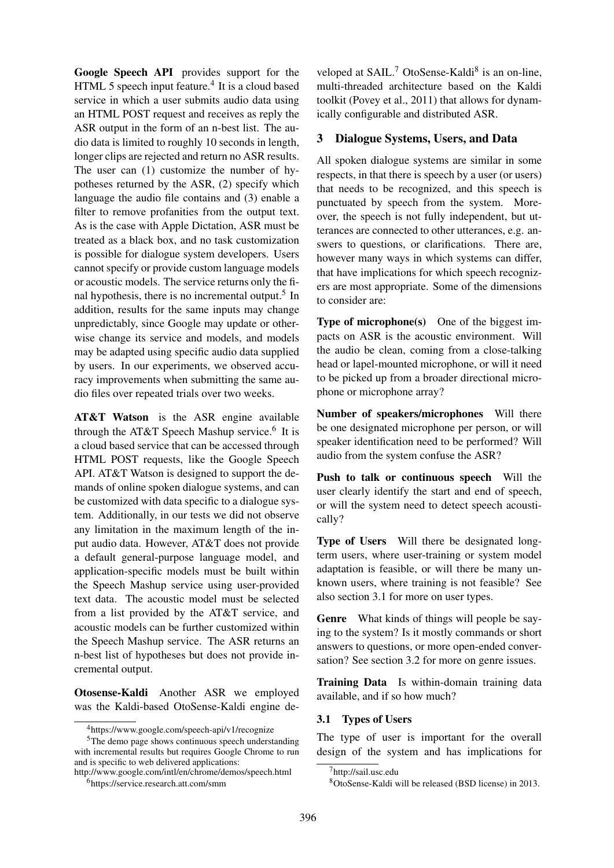Google Speech API provides support for the HTML 5 speech input feature.<sup>4</sup> It is a cloud based service in which a user submits audio data using an HTML POST request and receives as reply the ASR output in the form of an n-best list. The audio data is limited to roughly 10 seconds in length, longer clips are rejected and return no ASR results. The user can (1) customize the number of hypotheses returned by the ASR, (2) specify which language the audio file contains and (3) enable a filter to remove profanities from the output text. As is the case with Apple Dictation, ASR must be treated as a black box, and no task customization is possible for dialogue system developers. Users cannot specify or provide custom language models or acoustic models. The service returns only the final hypothesis, there is no incremental output.<sup>5</sup> In addition, results for the same inputs may change unpredictably, since Google may update or otherwise change its service and models, and models may be adapted using specific audio data supplied by users. In our experiments, we observed accuracy improvements when submitting the same audio files over repeated trials over two weeks.

AT&T Watson is the ASR engine available through the AT&T Speech Mashup service.<sup>6</sup> It is a cloud based service that can be accessed through HTML POST requests, like the Google Speech API. AT&T Watson is designed to support the demands of online spoken dialogue systems, and can be customized with data specific to a dialogue system. Additionally, in our tests we did not observe any limitation in the maximum length of the input audio data. However, AT&T does not provide a default general-purpose language model, and application-specific models must be built within the Speech Mashup service using user-provided text data. The acoustic model must be selected from a list provided by the AT&T service, and acoustic models can be further customized within the Speech Mashup service. The ASR returns an n-best list of hypotheses but does not provide incremental output.

Otosense-Kaldi Another ASR we employed was the Kaldi-based OtoSense-Kaldi engine de-

http://www.google.com/intl/en/chrome/demos/speech.html

veloped at SAIL.<sup>7</sup> OtoSense-Kaldi<sup>8</sup> is an on-line, multi-threaded architecture based on the Kaldi toolkit (Povey et al., 2011) that allows for dynamically configurable and distributed ASR.

#### 3 Dialogue Systems, Users, and Data

All spoken dialogue systems are similar in some respects, in that there is speech by a user (or users) that needs to be recognized, and this speech is punctuated by speech from the system. Moreover, the speech is not fully independent, but utterances are connected to other utterances, e.g. answers to questions, or clarifications. There are, however many ways in which systems can differ, that have implications for which speech recognizers are most appropriate. Some of the dimensions to consider are:

Type of microphone(s) One of the biggest impacts on ASR is the acoustic environment. Will the audio be clean, coming from a close-talking head or lapel-mounted microphone, or will it need to be picked up from a broader directional microphone or microphone array?

Number of speakers/microphones Will there be one designated microphone per person, or will speaker identification need to be performed? Will audio from the system confuse the ASR?

Push to talk or continuous speech Will the user clearly identify the start and end of speech, or will the system need to detect speech acoustically?

Type of Users Will there be designated longterm users, where user-training or system model adaptation is feasible, or will there be many unknown users, where training is not feasible? See also section 3.1 for more on user types.

Genre What kinds of things will people be saying to the system? Is it mostly commands or short answers to questions, or more open-ended conversation? See section 3.2 for more on genre issues.

Training Data Is within-domain training data available, and if so how much?

#### 3.1 Types of Users

The type of user is important for the overall design of the system and has implications for

<sup>4</sup>https://www.google.com/speech-api/v1/recognize

<sup>5</sup>The demo page shows continuous speech understanding with incremental results but requires Google Chrome to run and is specific to web delivered applications:

<sup>6</sup>https://service.research.att.com/smm

<sup>&</sup>lt;sup>7</sup>http://sail.usc.edu

<sup>8</sup>OtoSense-Kaldi will be released (BSD license) in 2013.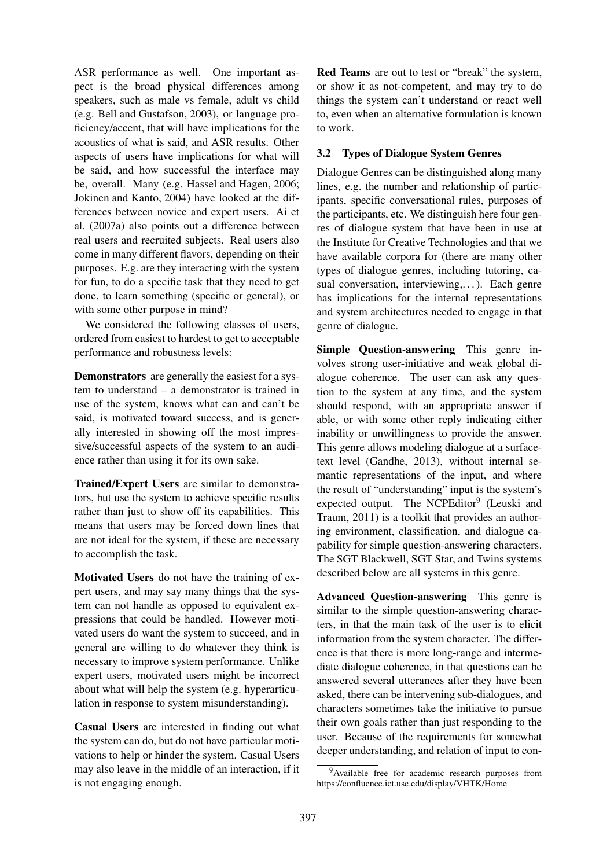ASR performance as well. One important aspect is the broad physical differences among speakers, such as male vs female, adult vs child (e.g. Bell and Gustafson, 2003), or language proficiency/accent, that will have implications for the acoustics of what is said, and ASR results. Other aspects of users have implications for what will be said, and how successful the interface may be, overall. Many (e.g. Hassel and Hagen, 2006; Jokinen and Kanto, 2004) have looked at the differences between novice and expert users. Ai et al. (2007a) also points out a difference between real users and recruited subjects. Real users also come in many different flavors, depending on their purposes. E.g. are they interacting with the system for fun, to do a specific task that they need to get done, to learn something (specific or general), or with some other purpose in mind?

We considered the following classes of users, ordered from easiest to hardest to get to acceptable performance and robustness levels:

Demonstrators are generally the easiest for a system to understand – a demonstrator is trained in use of the system, knows what can and can't be said, is motivated toward success, and is generally interested in showing off the most impressive/successful aspects of the system to an audience rather than using it for its own sake.

Trained/Expert Users are similar to demonstrators, but use the system to achieve specific results rather than just to show off its capabilities. This means that users may be forced down lines that are not ideal for the system, if these are necessary to accomplish the task.

Motivated Users do not have the training of expert users, and may say many things that the system can not handle as opposed to equivalent expressions that could be handled. However motivated users do want the system to succeed, and in general are willing to do whatever they think is necessary to improve system performance. Unlike expert users, motivated users might be incorrect about what will help the system (e.g. hyperarticulation in response to system misunderstanding).

Casual Users are interested in finding out what the system can do, but do not have particular motivations to help or hinder the system. Casual Users may also leave in the middle of an interaction, if it is not engaging enough.

Red Teams are out to test or "break" the system, or show it as not-competent, and may try to do things the system can't understand or react well to, even when an alternative formulation is known to work.

## 3.2 Types of Dialogue System Genres

Dialogue Genres can be distinguished along many lines, e.g. the number and relationship of participants, specific conversational rules, purposes of the participants, etc. We distinguish here four genres of dialogue system that have been in use at the Institute for Creative Technologies and that we have available corpora for (there are many other types of dialogue genres, including tutoring, casual conversation, interviewing,...). Each genre has implications for the internal representations and system architectures needed to engage in that genre of dialogue.

Simple Question-answering This genre involves strong user-initiative and weak global dialogue coherence. The user can ask any question to the system at any time, and the system should respond, with an appropriate answer if able, or with some other reply indicating either inability or unwillingness to provide the answer. This genre allows modeling dialogue at a surfacetext level (Gandhe, 2013), without internal semantic representations of the input, and where the result of "understanding" input is the system's expected output. The NCPEditor<sup>9</sup> (Leuski and Traum, 2011) is a toolkit that provides an authoring environment, classification, and dialogue capability for simple question-answering characters. The SGT Blackwell, SGT Star, and Twins systems described below are all systems in this genre.

Advanced Question-answering This genre is similar to the simple question-answering characters, in that the main task of the user is to elicit information from the system character. The difference is that there is more long-range and intermediate dialogue coherence, in that questions can be answered several utterances after they have been asked, there can be intervening sub-dialogues, and characters sometimes take the initiative to pursue their own goals rather than just responding to the user. Because of the requirements for somewhat deeper understanding, and relation of input to con-

<sup>&</sup>lt;sup>9</sup>Available free for academic research purposes from https://confluence.ict.usc.edu/display/VHTK/Home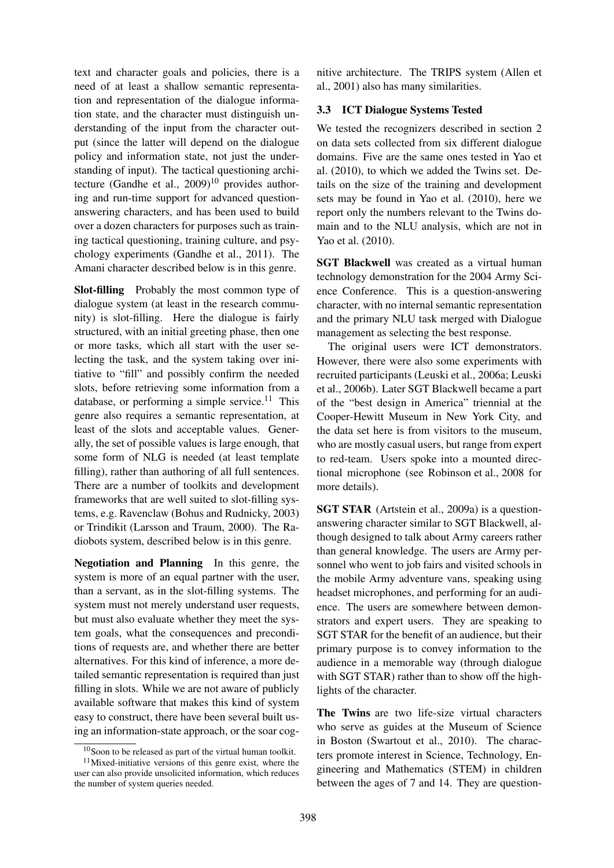text and character goals and policies, there is a need of at least a shallow semantic representation and representation of the dialogue information state, and the character must distinguish understanding of the input from the character output (since the latter will depend on the dialogue policy and information state, not just the understanding of input). The tactical questioning architecture (Gandhe et al.,  $2009$ )<sup>10</sup> provides authoring and run-time support for advanced questionanswering characters, and has been used to build over a dozen characters for purposes such as training tactical questioning, training culture, and psychology experiments (Gandhe et al., 2011). The Amani character described below is in this genre.

Slot-filling Probably the most common type of dialogue system (at least in the research community) is slot-filling. Here the dialogue is fairly structured, with an initial greeting phase, then one or more tasks, which all start with the user selecting the task, and the system taking over initiative to "fill" and possibly confirm the needed slots, before retrieving some information from a database, or performing a simple service.<sup>11</sup> This genre also requires a semantic representation, at least of the slots and acceptable values. Generally, the set of possible values is large enough, that some form of NLG is needed (at least template filling), rather than authoring of all full sentences. There are a number of toolkits and development frameworks that are well suited to slot-filling systems, e.g. Ravenclaw (Bohus and Rudnicky, 2003) or Trindikit (Larsson and Traum, 2000). The Radiobots system, described below is in this genre.

Negotiation and Planning In this genre, the system is more of an equal partner with the user, than a servant, as in the slot-filling systems. The system must not merely understand user requests, but must also evaluate whether they meet the system goals, what the consequences and preconditions of requests are, and whether there are better alternatives. For this kind of inference, a more detailed semantic representation is required than just filling in slots. While we are not aware of publicly available software that makes this kind of system easy to construct, there have been several built using an information-state approach, or the soar cog-

nitive architecture. The TRIPS system (Allen et al., 2001) also has many similarities.

#### 3.3 ICT Dialogue Systems Tested

We tested the recognizers described in section 2 on data sets collected from six different dialogue domains. Five are the same ones tested in Yao et al. (2010), to which we added the Twins set. Details on the size of the training and development sets may be found in Yao et al. (2010), here we report only the numbers relevant to the Twins domain and to the NLU analysis, which are not in Yao et al. (2010).

SGT Blackwell was created as a virtual human technology demonstration for the 2004 Army Science Conference. This is a question-answering character, with no internal semantic representation and the primary NLU task merged with Dialogue management as selecting the best response.

The original users were ICT demonstrators. However, there were also some experiments with recruited participants (Leuski et al., 2006a; Leuski et al., 2006b). Later SGT Blackwell became a part of the "best design in America" triennial at the Cooper-Hewitt Museum in New York City, and the data set here is from visitors to the museum, who are mostly casual users, but range from expert to red-team. Users spoke into a mounted directional microphone (see Robinson et al., 2008 for more details).

SGT STAR (Artstein et al., 2009a) is a questionanswering character similar to SGT Blackwell, although designed to talk about Army careers rather than general knowledge. The users are Army personnel who went to job fairs and visited schools in the mobile Army adventure vans, speaking using headset microphones, and performing for an audience. The users are somewhere between demonstrators and expert users. They are speaking to SGT STAR for the benefit of an audience, but their primary purpose is to convey information to the audience in a memorable way (through dialogue with SGT STAR) rather than to show off the highlights of the character.

The Twins are two life-size virtual characters who serve as guides at the Museum of Science in Boston (Swartout et al., 2010). The characters promote interest in Science, Technology, Engineering and Mathematics (STEM) in children between the ages of 7 and 14. They are question-

 $10$ Soon to be released as part of the virtual human toolkit.

<sup>11</sup>Mixed-initiative versions of this genre exist, where the user can also provide unsolicited information, which reduces the number of system queries needed.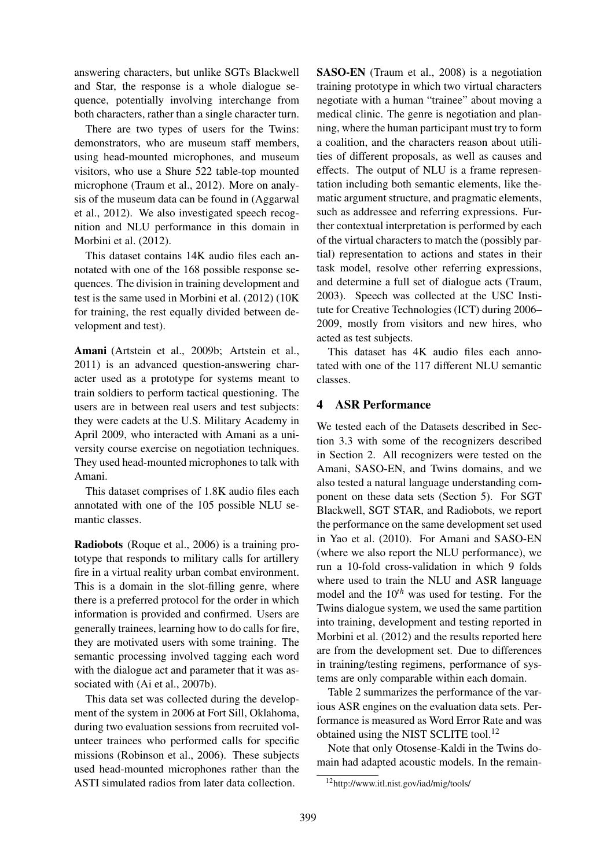answering characters, but unlike SGTs Blackwell and Star, the response is a whole dialogue sequence, potentially involving interchange from both characters, rather than a single character turn.

There are two types of users for the Twins: demonstrators, who are museum staff members, using head-mounted microphones, and museum visitors, who use a Shure 522 table-top mounted microphone (Traum et al., 2012). More on analysis of the museum data can be found in (Aggarwal et al., 2012). We also investigated speech recognition and NLU performance in this domain in Morbini et al. (2012).

This dataset contains 14K audio files each annotated with one of the 168 possible response sequences. The division in training development and test is the same used in Morbini et al. (2012) (10K for training, the rest equally divided between development and test).

Amani (Artstein et al., 2009b; Artstein et al., 2011) is an advanced question-answering character used as a prototype for systems meant to train soldiers to perform tactical questioning. The users are in between real users and test subjects: they were cadets at the U.S. Military Academy in April 2009, who interacted with Amani as a university course exercise on negotiation techniques. They used head-mounted microphones to talk with Amani.

This dataset comprises of 1.8K audio files each annotated with one of the 105 possible NLU semantic classes.

Radiobots (Roque et al., 2006) is a training prototype that responds to military calls for artillery fire in a virtual reality urban combat environment. This is a domain in the slot-filling genre, where there is a preferred protocol for the order in which information is provided and confirmed. Users are generally trainees, learning how to do calls for fire, they are motivated users with some training. The semantic processing involved tagging each word with the dialogue act and parameter that it was associated with (Ai et al., 2007b).

This data set was collected during the development of the system in 2006 at Fort Sill, Oklahoma, during two evaluation sessions from recruited volunteer trainees who performed calls for specific missions (Robinson et al., 2006). These subjects used head-mounted microphones rather than the ASTI simulated radios from later data collection.

SASO-EN (Traum et al., 2008) is a negotiation training prototype in which two virtual characters negotiate with a human "trainee" about moving a medical clinic. The genre is negotiation and planning, where the human participant must try to form a coalition, and the characters reason about utilities of different proposals, as well as causes and effects. The output of NLU is a frame representation including both semantic elements, like thematic argument structure, and pragmatic elements, such as addressee and referring expressions. Further contextual interpretation is performed by each of the virtual characters to match the (possibly partial) representation to actions and states in their task model, resolve other referring expressions, and determine a full set of dialogue acts (Traum, 2003). Speech was collected at the USC Institute for Creative Technologies (ICT) during 2006– 2009, mostly from visitors and new hires, who acted as test subjects.

This dataset has 4K audio files each annotated with one of the 117 different NLU semantic classes.

## 4 ASR Performance

We tested each of the Datasets described in Section 3.3 with some of the recognizers described in Section 2. All recognizers were tested on the Amani, SASO-EN, and Twins domains, and we also tested a natural language understanding component on these data sets (Section 5). For SGT Blackwell, SGT STAR, and Radiobots, we report the performance on the same development set used in Yao et al. (2010). For Amani and SASO-EN (where we also report the NLU performance), we run a 10-fold cross-validation in which 9 folds where used to train the NLU and ASR language model and the 10*th* was used for testing. For the Twins dialogue system, we used the same partition into training, development and testing reported in Morbini et al. (2012) and the results reported here are from the development set. Due to differences in training/testing regimens, performance of systems are only comparable within each domain.

Table 2 summarizes the performance of the various ASR engines on the evaluation data sets. Performance is measured as Word Error Rate and was obtained using the NIST SCLITE tool.<sup>12</sup>

Note that only Otosense-Kaldi in the Twins domain had adapted acoustic models. In the remain-

<sup>12</sup>http://www.itl.nist.gov/iad/mig/tools/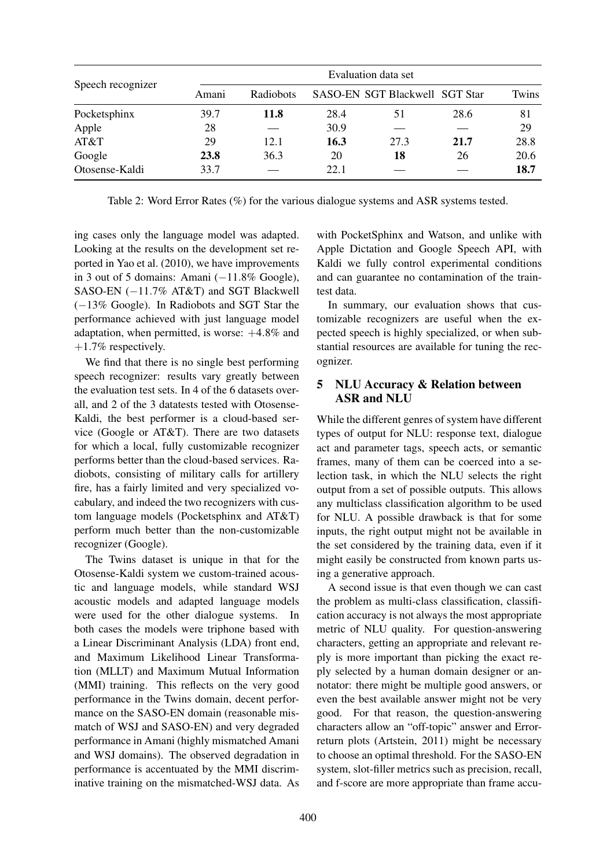|                   | Evaluation data set |             |      |                                |      |       |  |
|-------------------|---------------------|-------------|------|--------------------------------|------|-------|--|
| Speech recognizer | Amani               | Radiobots   |      | SASO-EN SGT Blackwell SGT Star |      | Twins |  |
| Pocketsphinx      | 39.7                | <b>11.8</b> | 28.4 | 51                             | 28.6 | 81    |  |
| Apple             | 28                  |             | 30.9 |                                |      | 29    |  |
| AT&T              | 29                  | 12.1        | 16.3 | 27.3                           | 21.7 | 28.8  |  |
| Google            | 23.8                | 36.3        | 20   | 18                             | 26   | 20.6  |  |
| Otosense-Kaldi    | 33.7                |             | 22.1 |                                |      | 18.7  |  |

Table 2: Word Error Rates (%) for the various dialogue systems and ASR systems tested.

ing cases only the language model was adapted. Looking at the results on the development set reported in Yao et al. (2010), we have improvements in 3 out of 5 domains: Amani (−11.8% Google), SASO-EN (−11.7% AT&T) and SGT Blackwell (−13% Google). In Radiobots and SGT Star the performance achieved with just language model adaptation, when permitted, is worse:  $+4.8\%$  and  $+1.7\%$  respectively.

We find that there is no single best performing speech recognizer: results vary greatly between the evaluation test sets. In 4 of the 6 datasets overall, and 2 of the 3 datatests tested with Otosense-Kaldi, the best performer is a cloud-based service (Google or AT&T). There are two datasets for which a local, fully customizable recognizer performs better than the cloud-based services. Radiobots, consisting of military calls for artillery fire, has a fairly limited and very specialized vocabulary, and indeed the two recognizers with custom language models (Pocketsphinx and AT&T) perform much better than the non-customizable recognizer (Google).

The Twins dataset is unique in that for the Otosense-Kaldi system we custom-trained acoustic and language models, while standard WSJ acoustic models and adapted language models were used for the other dialogue systems. In both cases the models were triphone based with a Linear Discriminant Analysis (LDA) front end, and Maximum Likelihood Linear Transformation (MLLT) and Maximum Mutual Information (MMI) training. This reflects on the very good performance in the Twins domain, decent performance on the SASO-EN domain (reasonable mismatch of WSJ and SASO-EN) and very degraded performance in Amani (highly mismatched Amani and WSJ domains). The observed degradation in performance is accentuated by the MMI discriminative training on the mismatched-WSJ data. As

with PocketSphinx and Watson, and unlike with Apple Dictation and Google Speech API, with Kaldi we fully control experimental conditions and can guarantee no contamination of the traintest data.

In summary, our evaluation shows that customizable recognizers are useful when the expected speech is highly specialized, or when substantial resources are available for tuning the recognizer.

# 5 NLU Accuracy & Relation between ASR and NLU

While the different genres of system have different types of output for NLU: response text, dialogue act and parameter tags, speech acts, or semantic frames, many of them can be coerced into a selection task, in which the NLU selects the right output from a set of possible outputs. This allows any multiclass classification algorithm to be used for NLU. A possible drawback is that for some inputs, the right output might not be available in the set considered by the training data, even if it might easily be constructed from known parts using a generative approach.

A second issue is that even though we can cast the problem as multi-class classification, classification accuracy is not always the most appropriate metric of NLU quality. For question-answering characters, getting an appropriate and relevant reply is more important than picking the exact reply selected by a human domain designer or annotator: there might be multiple good answers, or even the best available answer might not be very good. For that reason, the question-answering characters allow an "off-topic" answer and Errorreturn plots (Artstein, 2011) might be necessary to choose an optimal threshold. For the SASO-EN system, slot-filler metrics such as precision, recall, and f-score are more appropriate than frame accu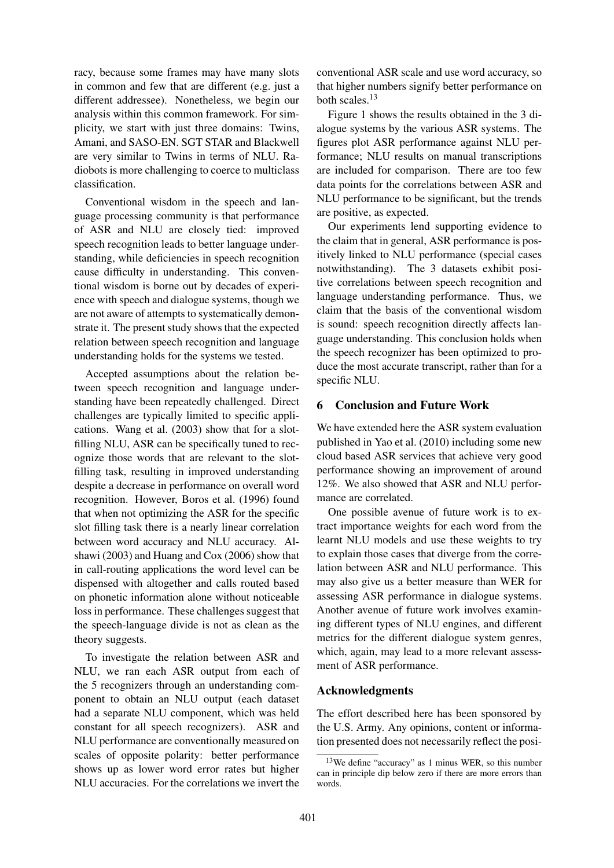racy, because some frames may have many slots in common and few that are different (e.g. just a different addressee). Nonetheless, we begin our analysis within this common framework. For simplicity, we start with just three domains: Twins, Amani, and SASO-EN. SGT STAR and Blackwell are very similar to Twins in terms of NLU. Radiobots is more challenging to coerce to multiclass classification.

Conventional wisdom in the speech and language processing community is that performance of ASR and NLU are closely tied: improved speech recognition leads to better language understanding, while deficiencies in speech recognition cause difficulty in understanding. This conventional wisdom is borne out by decades of experience with speech and dialogue systems, though we are not aware of attempts to systematically demonstrate it. The present study shows that the expected relation between speech recognition and language understanding holds for the systems we tested.

Accepted assumptions about the relation between speech recognition and language understanding have been repeatedly challenged. Direct challenges are typically limited to specific applications. Wang et al. (2003) show that for a slotfilling NLU, ASR can be specifically tuned to recognize those words that are relevant to the slotfilling task, resulting in improved understanding despite a decrease in performance on overall word recognition. However, Boros et al. (1996) found that when not optimizing the ASR for the specific slot filling task there is a nearly linear correlation between word accuracy and NLU accuracy. Alshawi (2003) and Huang and Cox (2006) show that in call-routing applications the word level can be dispensed with altogether and calls routed based on phonetic information alone without noticeable loss in performance. These challenges suggest that the speech-language divide is not as clean as the theory suggests.

To investigate the relation between ASR and NLU, we ran each ASR output from each of the 5 recognizers through an understanding component to obtain an NLU output (each dataset had a separate NLU component, which was held constant for all speech recognizers). ASR and NLU performance are conventionally measured on scales of opposite polarity: better performance shows up as lower word error rates but higher NLU accuracies. For the correlations we invert the

conventional ASR scale and use word accuracy, so that higher numbers signify better performance on both scales.<sup>13</sup>

Figure 1 shows the results obtained in the 3 dialogue systems by the various ASR systems. The figures plot ASR performance against NLU performance; NLU results on manual transcriptions are included for comparison. There are too few data points for the correlations between ASR and NLU performance to be significant, but the trends are positive, as expected.

Our experiments lend supporting evidence to the claim that in general, ASR performance is positively linked to NLU performance (special cases notwithstanding). The 3 datasets exhibit positive correlations between speech recognition and language understanding performance. Thus, we claim that the basis of the conventional wisdom is sound: speech recognition directly affects language understanding. This conclusion holds when the speech recognizer has been optimized to produce the most accurate transcript, rather than for a specific NLU.

## 6 Conclusion and Future Work

We have extended here the ASR system evaluation published in Yao et al. (2010) including some new cloud based ASR services that achieve very good performance showing an improvement of around 12%. We also showed that ASR and NLU performance are correlated.

One possible avenue of future work is to extract importance weights for each word from the learnt NLU models and use these weights to try to explain those cases that diverge from the correlation between ASR and NLU performance. This may also give us a better measure than WER for assessing ASR performance in dialogue systems. Another avenue of future work involves examining different types of NLU engines, and different metrics for the different dialogue system genres, which, again, may lead to a more relevant assessment of ASR performance.

#### Acknowledgments

The effort described here has been sponsored by the U.S. Army. Any opinions, content or information presented does not necessarily reflect the posi-

<sup>13</sup>We define "accuracy" as 1 minus WER, so this number can in principle dip below zero if there are more errors than words.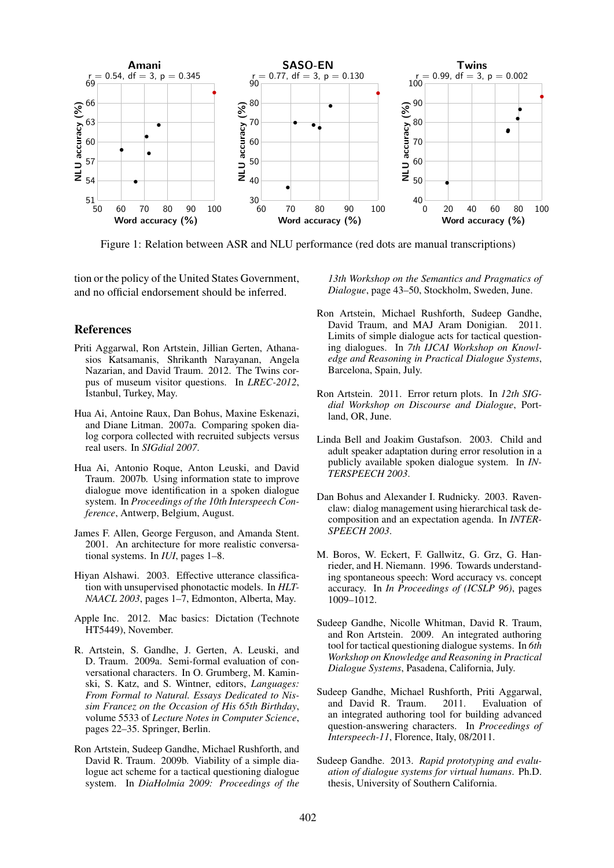

Figure 1: Relation between ASR and NLU performance (red dots are manual transcriptions)

tion or the policy of the United States Government, and no official endorsement should be inferred.

#### References

- Priti Aggarwal, Ron Artstein, Jillian Gerten, Athanasios Katsamanis, Shrikanth Narayanan, Angela Nazarian, and David Traum. 2012. The Twins corpus of museum visitor questions. In *LREC-2012*, Istanbul, Turkey, May.
- Hua Ai, Antoine Raux, Dan Bohus, Maxine Eskenazi, and Diane Litman. 2007a. Comparing spoken dialog corpora collected with recruited subjects versus real users. In *SIGdial 2007*.
- Hua Ai, Antonio Roque, Anton Leuski, and David Traum. 2007b. Using information state to improve dialogue move identification in a spoken dialogue system. In *Proceedings of the 10th Interspeech Conference*, Antwerp, Belgium, August.
- James F. Allen, George Ferguson, and Amanda Stent. 2001. An architecture for more realistic conversational systems. In *IUI*, pages 1–8.
- Hiyan Alshawi. 2003. Effective utterance classification with unsupervised phonotactic models. In *HLT-NAACL 2003*, pages 1–7, Edmonton, Alberta, May.
- Apple Inc. 2012. Mac basics: Dictation (Technote HT5449), November.
- R. Artstein, S. Gandhe, J. Gerten, A. Leuski, and D. Traum. 2009a. Semi-formal evaluation of conversational characters. In O. Grumberg, M. Kaminski, S. Katz, and S. Wintner, editors, *Languages: From Formal to Natural. Essays Dedicated to Nissim Francez on the Occasion of His 65th Birthday*, volume 5533 of *Lecture Notes in Computer Science*, pages 22–35. Springer, Berlin.
- Ron Artstein, Sudeep Gandhe, Michael Rushforth, and David R. Traum. 2009b. Viability of a simple dialogue act scheme for a tactical questioning dialogue system. In *DiaHolmia 2009: Proceedings of the*

*13th Workshop on the Semantics and Pragmatics of Dialogue*, page 43–50, Stockholm, Sweden, June.

- Ron Artstein, Michael Rushforth, Sudeep Gandhe, David Traum, and MAJ Aram Donigian. 2011. Limits of simple dialogue acts for tactical questioning dialogues. In *7th IJCAI Workshop on Knowledge and Reasoning in Practical Dialogue Systems*, Barcelona, Spain, July.
- Ron Artstein. 2011. Error return plots. In *12th SIGdial Workshop on Discourse and Dialogue*, Portland, OR, June.
- Linda Bell and Joakim Gustafson. 2003. Child and adult speaker adaptation during error resolution in a publicly available spoken dialogue system. In *IN-TERSPEECH 2003*.
- Dan Bohus and Alexander I. Rudnicky. 2003. Ravenclaw: dialog management using hierarchical task decomposition and an expectation agenda. In *INTER-SPEECH 2003*.
- M. Boros, W. Eckert, F. Gallwitz, G. Grz, G. Hanrieder, and H. Niemann. 1996. Towards understanding spontaneous speech: Word accuracy vs. concept accuracy. In *In Proceedings of (ICSLP 96)*, pages 1009–1012.
- Sudeep Gandhe, Nicolle Whitman, David R. Traum, and Ron Artstein. 2009. An integrated authoring tool for tactical questioning dialogue systems. In *6th Workshop on Knowledge and Reasoning in Practical Dialogue Systems*, Pasadena, California, July.
- Sudeep Gandhe, Michael Rushforth, Priti Aggarwal, and David R. Traum. 2011. Evaluation of an integrated authoring tool for building advanced question-answering characters. In *Proceedings of Interspeech-11*, Florence, Italy, 08/2011.
- Sudeep Gandhe. 2013. *Rapid prototyping and evaluation of dialogue systems for virtual humans*. Ph.D. thesis, University of Southern California.